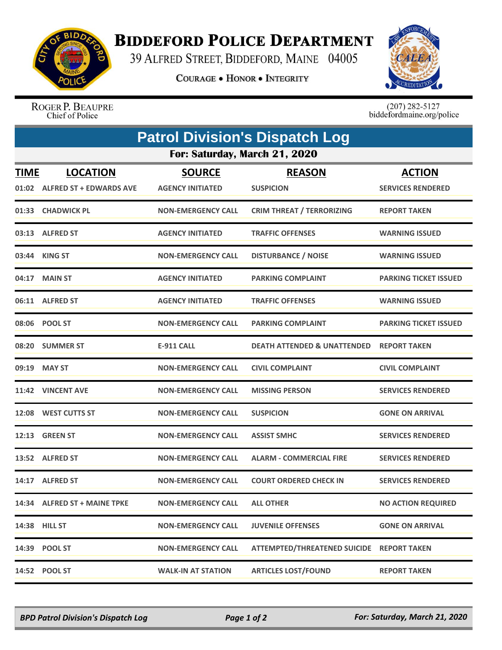

## **BIDDEFORD POLICE DEPARTMENT**

39 ALFRED STREET, BIDDEFORD, MAINE 04005

**COURAGE . HONOR . INTEGRITY** 



ROGER P. BEAUPRE Chief of Police

 $(207)$  282-5127<br>biddefordmaine.org/police

| <b>Patrol Division's Dispatch Log</b> |                                                  |                                          |                                           |                                           |  |  |  |
|---------------------------------------|--------------------------------------------------|------------------------------------------|-------------------------------------------|-------------------------------------------|--|--|--|
| For: Saturday, March 21, 2020         |                                                  |                                          |                                           |                                           |  |  |  |
| <u>TIME</u>                           | <b>LOCATION</b><br>01:02 ALFRED ST + EDWARDS AVE | <b>SOURCE</b><br><b>AGENCY INITIATED</b> | <b>REASON</b><br><b>SUSPICION</b>         | <b>ACTION</b><br><b>SERVICES RENDERED</b> |  |  |  |
| 01:33                                 | <b>CHADWICK PL</b>                               | <b>NON-EMERGENCY CALL</b>                | <b>CRIM THREAT / TERRORIZING</b>          | <b>REPORT TAKEN</b>                       |  |  |  |
|                                       | 03:13 ALFRED ST                                  | <b>AGENCY INITIATED</b>                  | <b>TRAFFIC OFFENSES</b>                   | <b>WARNING ISSUED</b>                     |  |  |  |
| 03:44                                 | <b>KING ST</b>                                   | NON-EMERGENCY CALL                       | <b>DISTURBANCE / NOISE</b>                | <b>WARNING ISSUED</b>                     |  |  |  |
|                                       | 04:17 MAIN ST                                    | <b>AGENCY INITIATED</b>                  | <b>PARKING COMPLAINT</b>                  | <b>PARKING TICKET ISSUED</b>              |  |  |  |
|                                       | 06:11 ALFRED ST                                  | <b>AGENCY INITIATED</b>                  | <b>TRAFFIC OFFENSES</b>                   | <b>WARNING ISSUED</b>                     |  |  |  |
|                                       | 08:06 POOL ST                                    | <b>NON-EMERGENCY CALL</b>                | <b>PARKING COMPLAINT</b>                  | <b>PARKING TICKET ISSUED</b>              |  |  |  |
|                                       | 08:20 SUMMER ST                                  | <b>E-911 CALL</b>                        | <b>DEATH ATTENDED &amp; UNATTENDED</b>    | <b>REPORT TAKEN</b>                       |  |  |  |
|                                       | 09:19 MAY ST                                     | <b>NON-EMERGENCY CALL</b>                | <b>CIVIL COMPLAINT</b>                    | <b>CIVIL COMPLAINT</b>                    |  |  |  |
|                                       | 11:42 VINCENT AVE                                | <b>NON-EMERGENCY CALL</b>                | <b>MISSING PERSON</b>                     | <b>SERVICES RENDERED</b>                  |  |  |  |
| 12:08                                 | <b>WEST CUTTS ST</b>                             | <b>NON-EMERGENCY CALL</b>                | <b>SUSPICION</b>                          | <b>GONE ON ARRIVAL</b>                    |  |  |  |
| 12:13                                 | <b>GREEN ST</b>                                  | <b>NON-EMERGENCY CALL</b>                | <b>ASSIST SMHC</b>                        | <b>SERVICES RENDERED</b>                  |  |  |  |
|                                       | 13:52 ALFRED ST                                  | <b>NON-EMERGENCY CALL</b>                | <b>ALARM - COMMERCIAL FIRE</b>            | <b>SERVICES RENDERED</b>                  |  |  |  |
| 14:17                                 | <b>ALFRED ST</b>                                 | <b>NON-EMERGENCY CALL</b>                | <b>COURT ORDERED CHECK IN</b>             | <b>SERVICES RENDERED</b>                  |  |  |  |
|                                       | 14:34 ALFRED ST + MAINE TPKE                     | <b>NON-EMERGENCY CALL</b>                | <b>ALL OTHER</b>                          | <b>NO ACTION REQUIRED</b>                 |  |  |  |
|                                       | 14:38 HILL ST                                    | <b>NON-EMERGENCY CALL</b>                | <b>JUVENILE OFFENSES</b>                  | <b>GONE ON ARRIVAL</b>                    |  |  |  |
|                                       | 14:39 POOL ST                                    | NON-EMERGENCY CALL                       | ATTEMPTED/THREATENED SUICIDE REPORT TAKEN |                                           |  |  |  |
|                                       | 14:52 POOL ST                                    | <b>WALK-IN AT STATION</b>                | <b>ARTICLES LOST/FOUND</b>                | <b>REPORT TAKEN</b>                       |  |  |  |